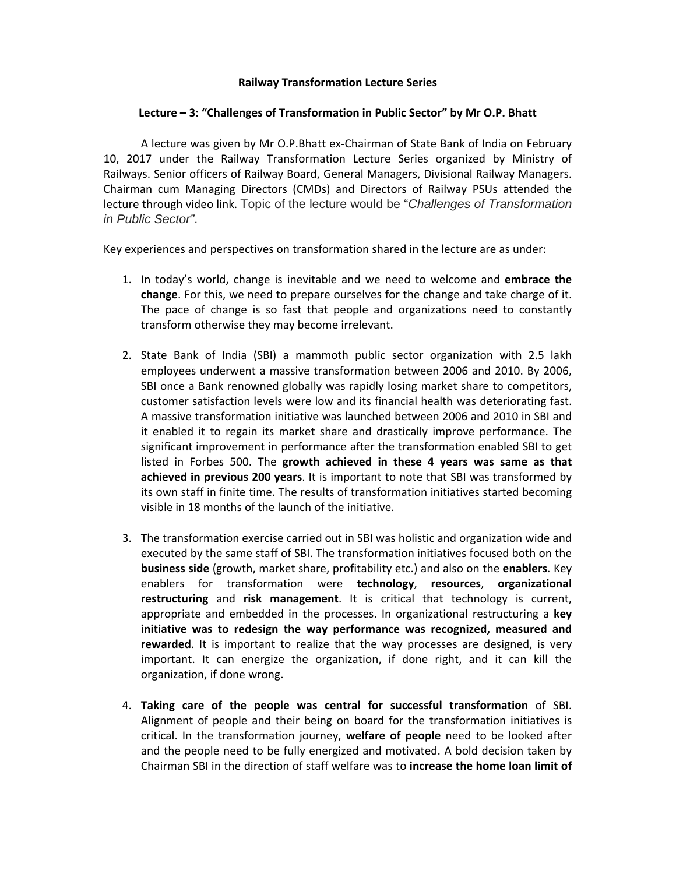## **Railway Transformation Lecture Series**

## **Lecture – 3: "Challenges of Transformation in Public Sector" by Mr O.P. Bhatt**

A lecture was given by Mr O.P.Bhatt ex‐Chairman of State Bank of India on February 10, 2017 under the Railway Transformation Lecture Series organized by Ministry of Railways. Senior officers of Railway Board, General Managers, Divisional Railway Managers. Chairman cum Managing Directors (CMDs) and Directors of Railway PSUs attended the lecture through video link. Topic of the lecture would be "*Challenges of Transformation in Public Sector"*.

Key experiences and perspectives on transformation shared in the lecture are as under:

- 1. In today's world, change is inevitable and we need to welcome and **embrace the change**. For this, we need to prepare ourselves for the change and take charge of it. The pace of change is so fast that people and organizations need to constantly transform otherwise they may become irrelevant.
- 2. State Bank of India (SBI) a mammoth public sector organization with 2.5 lakh employees underwent a massive transformation between 2006 and 2010. By 2006, SBI once a Bank renowned globally was rapidly losing market share to competitors, customer satisfaction levels were low and its financial health was deteriorating fast. A massive transformation initiative was launched between 2006 and 2010 in SBI and it enabled it to regain its market share and drastically improve performance. The significant improvement in performance after the transformation enabled SBI to get listed in Forbes 500. The **growth achieved in these 4 years was same as that achieved in previous 200 years**. It is important to note that SBI was transformed by its own staff in finite time. The results of transformation initiatives started becoming visible in 18 months of the launch of the initiative.
- 3. The transformation exercise carried out in SBI was holistic and organization wide and executed by the same staff of SBI. The transformation initiatives focused both on the **business side** (growth, market share, profitability etc.) and also on the **enablers**. Key enablers for transformation were **technology**, **resources**, **organizational restructuring** and **risk management**. It is critical that technology is current, appropriate and embedded in the processes. In organizational restructuring a **key initiative was to redesign the way performance was recognized, measured and rewarded**. It is important to realize that the way processes are designed, is very important. It can energize the organization, if done right, and it can kill the organization, if done wrong.
- 4. **Taking care of the people was central for successful transformation** of SBI. Alignment of people and their being on board for the transformation initiatives is critical. In the transformation journey, **welfare of people** need to be looked after and the people need to be fully energized and motivated. A bold decision taken by Chairman SBI in the direction of staff welfare was to **increase the home loan limit of**